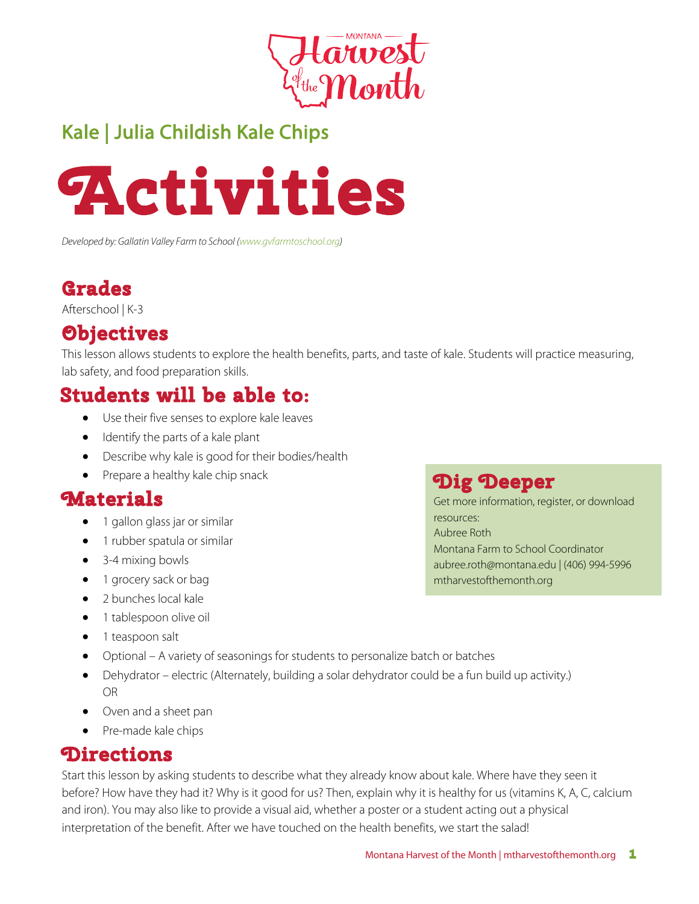

# Kale | Julia Childish Kale Chips



*Developed by: Gallatin Valley Farm to School (www.gvfarmtoschool.org)*

### **Grades**

Afterschool | K-3

# **Objectives**

This lesson allows students to explore the health benefits, parts, and taste of kale. Students will practice measuring, lab safety, and food preparation skills.

## **Students will be able to:**

- Use their five senses to explore kale leaves
- Identify the parts of a kale plant
- Describe why kale is good for their bodies/health
- Prepare a healthy kale chip snack

#### **Materials**

- 1 gallon glass jar or similar
- 1 rubber spatula or similar
- 3-4 mixing bowls
- 1 grocery sack or bag
- 2 bunches local kale
- 1 tablespoon olive oil
- 1 teaspoon salt
- Optional A variety of seasonings for students to personalize batch or batches
- Dehydrator electric (Alternately, building a solar dehydrator could be a fun build up activity.) OR
- Oven and a sheet pan
- Pre-made kale chips

#### **Directions**

Start this lesson by asking students to describe what they already know about kale. Where have they seen it before? How have they had it? Why is it good for us? Then, explain why it is healthy for us (vitamins K, A, C, calcium and iron). You may also like to provide a visual aid, whether a poster or a student acting out a physical interpretation of the benefit. After we have touched on the health benefits, we start the salad!

## **Dig Deeper**

Get more information, register, or download resources: Aubree Roth Montana Farm to School Coordinator aubree.roth@montana.edu | (406) 994-5996 mtharvestofthemonth.org